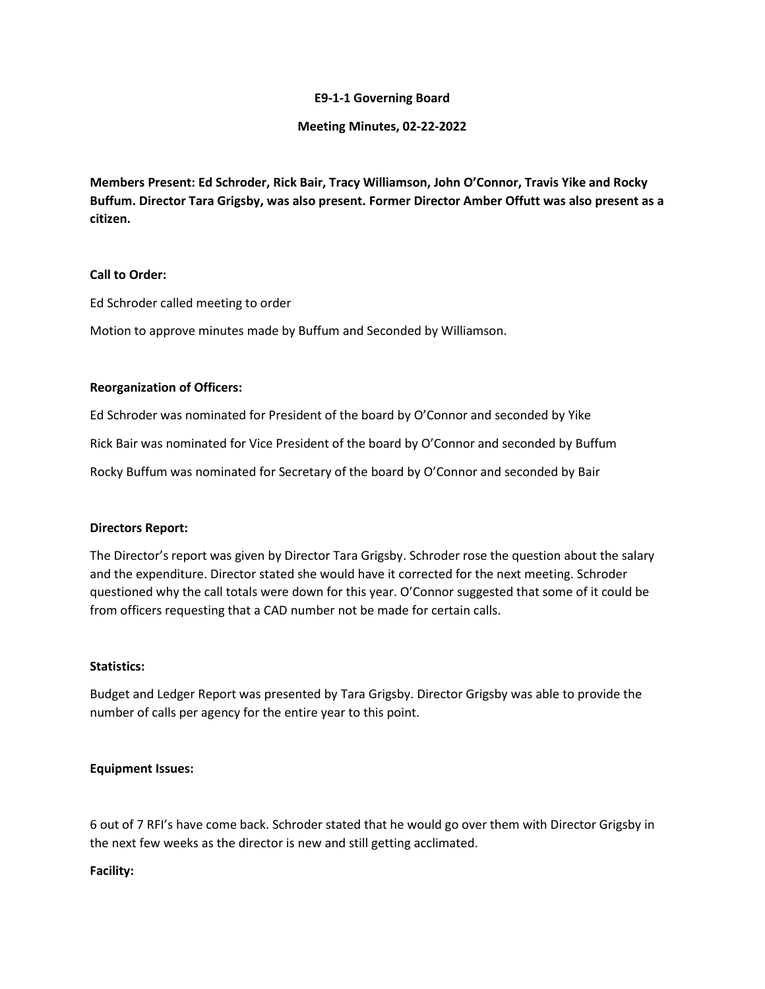# **E9-1-1 Governing Board**

## **Meeting Minutes, 02-22-2022**

**Members Present: Ed Schroder, Rick Bair, Tracy Williamson, John O'Connor, Travis Yike and Rocky Buffum. Director Tara Grigsby, was also present. Former Director Amber Offutt was also present as a citizen.**

# **Call to Order:**

Ed Schroder called meeting to order

Motion to approve minutes made by Buffum and Seconded by Williamson.

## **Reorganization of Officers:**

Ed Schroder was nominated for President of the board by O'Connor and seconded by Yike Rick Bair was nominated for Vice President of the board by O'Connor and seconded by Buffum Rocky Buffum was nominated for Secretary of the board by O'Connor and seconded by Bair

#### **Directors Report:**

The Director's report was given by Director Tara Grigsby. Schroder rose the question about the salary and the expenditure. Director stated she would have it corrected for the next meeting. Schroder questioned why the call totals were down for this year. O'Connor suggested that some of it could be from officers requesting that a CAD number not be made for certain calls.

#### **Statistics:**

Budget and Ledger Report was presented by Tara Grigsby. Director Grigsby was able to provide the number of calls per agency for the entire year to this point.

### **Equipment Issues:**

6 out of 7 RFI's have come back. Schroder stated that he would go over them with Director Grigsby in the next few weeks as the director is new and still getting acclimated.

#### **Facility:**